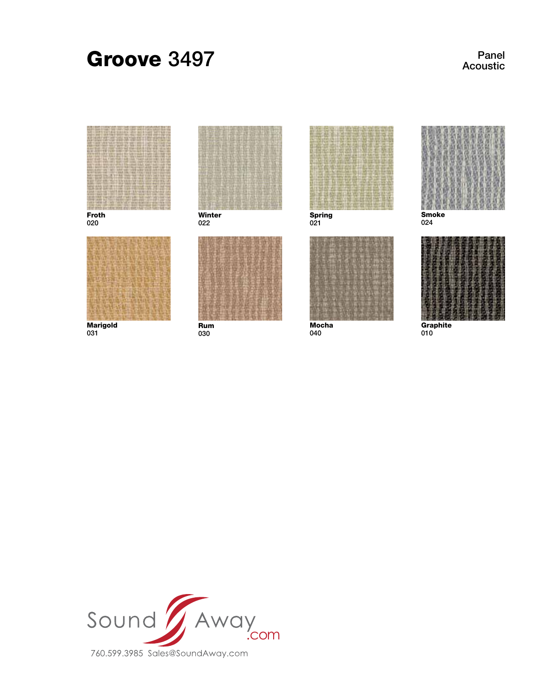# Groove 3497

Panel Acoustic



Froth 020



**Marigold** 031



022



Rum 030



Spring 021



Mocha 040



024



**Graphite** 010